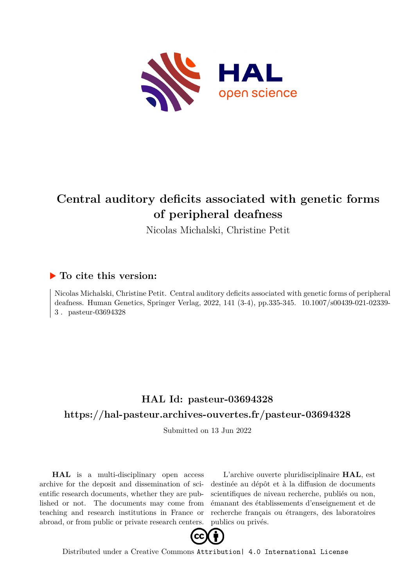

# **Central auditory deficits associated with genetic forms of peripheral deafness**

Nicolas Michalski, Christine Petit

## **To cite this version:**

Nicolas Michalski, Christine Petit. Central auditory deficits associated with genetic forms of peripheral deafness. Human Genetics, Springer Verlag, 2022, 141 (3-4), pp.335-345. 10.1007/s00439-021-02339-3. pasteur-03694328

# **HAL Id: pasteur-03694328 <https://hal-pasteur.archives-ouvertes.fr/pasteur-03694328>**

Submitted on 13 Jun 2022

**HAL** is a multi-disciplinary open access archive for the deposit and dissemination of scientific research documents, whether they are published or not. The documents may come from teaching and research institutions in France or abroad, or from public or private research centers.

L'archive ouverte pluridisciplinaire **HAL**, est destinée au dépôt et à la diffusion de documents scientifiques de niveau recherche, publiés ou non, émanant des établissements d'enseignement et de recherche français ou étrangers, des laboratoires publics ou privés.



Distributed under a Creative Commons [Attribution| 4.0 International License](http://creativecommons.org/licenses/by/4.0/)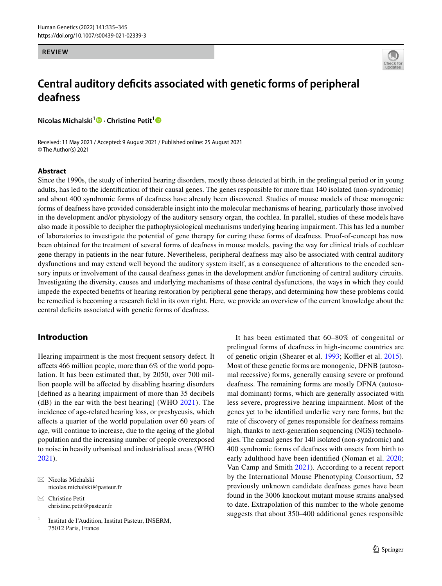#### **REVIEW**



# **Central auditory defcits associated with genetic forms of peripheral deafness**

**Nicolas Michalski1  [·](http://orcid.org/0000-0002-1287-2709) Christine Petit[1](http://orcid.org/0000-0002-9069-002X)**

Received: 11 May 2021 / Accepted: 9 August 2021 / Published online: 25 August 2021 © The Author(s) 2021

#### **Abstract**

Since the 1990s, the study of inherited hearing disorders, mostly those detected at birth, in the prelingual period or in young adults, has led to the identifcation of their causal genes. The genes responsible for more than 140 isolated (non-syndromic) and about 400 syndromic forms of deafness have already been discovered. Studies of mouse models of these monogenic forms of deafness have provided considerable insight into the molecular mechanisms of hearing, particularly those involved in the development and/or physiology of the auditory sensory organ, the cochlea. In parallel, studies of these models have also made it possible to decipher the pathophysiological mechanisms underlying hearing impairment. This has led a number of laboratories to investigate the potential of gene therapy for curing these forms of deafness. Proof-of-concept has now been obtained for the treatment of several forms of deafness in mouse models, paving the way for clinical trials of cochlear gene therapy in patients in the near future. Nevertheless, peripheral deafness may also be associated with central auditory dysfunctions and may extend well beyond the auditory system itself, as a consequence of alterations to the encoded sensory inputs or involvement of the causal deafness genes in the development and/or functioning of central auditory circuits. Investigating the diversity, causes and underlying mechanisms of these central dysfunctions, the ways in which they could impede the expected benefts of hearing restoration by peripheral gene therapy, and determining how these problems could be remedied is becoming a research feld in its own right. Here, we provide an overview of the current knowledge about the central deficits associated with genetic forms of deafness.

#### **Introduction**

Hearing impairment is the most frequent sensory defect. It afects 466 million people, more than 6% of the world population. It has been estimated that, by 2050, over 700 million people will be afected by disabling hearing disorders [defned as a hearing impairment of more than 35 decibels  $(d)$  in the ear with the best hearing] (WHO 2021). The incidence of age-related hearing loss, or presbycusis, which afects a quarter of the world population over 60 years of age, will continue to increase, due to the ageing of the global population and the increasing number of people overexposed to noise in heavily urbanised and industrialised areas (WHO 2021).

 $\boxtimes$  Christine Petit christine.petit@pasteur.fr

 $1$  Institut de l'Audition, Institut Pasteur, INSERM, 75012 Paris, France

It has been estimated that 60–80% of congenital or prelingual forms of deafness in high-income countries are of genetic origin (Shearer et al. 1993; Koffler et al. 2015). Most of these genetic forms are monogenic, DFNB (autosomal recessive) forms, generally causing severe or profound deafness. The remaining forms are mostly DFNA (autosomal dominant) forms, which are generally associated with less severe, progressive hearing impairment. Most of the genes yet to be identifed underlie very rare forms, but the rate of discovery of genes responsible for deafness remains high, thanks to next-generation sequencing (NGS) technologies. The causal genes for 140 isolated (non-syndromic) and 400 syndromic forms of deafness with onsets from birth to early adulthood have been identifed (Noman et al. 2020; Van Camp and Smith 2021). According to a recent report by the International Mouse Phenotyping Consortium, 52 previously unknown candidate deafness genes have been found in the 3006 knockout mutant mouse strains analysed to date. Extrapolation of this number to the whole genome suggests that about 350–400 additional genes responsible

 $\boxtimes$  Nicolas Michalski nicolas.michalski@pasteur.fr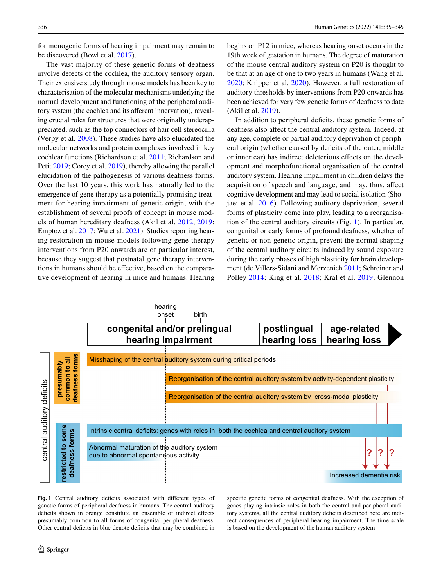for monogenic forms of hearing impairment may remain to be discovered (Bowl et al. 2017).

The vast majority of these genetic forms of deafness involve defects of the cochlea, the auditory sensory organ. Their extensive study through mouse models has been key to characterisation of the molecular mechanisms underlying the normal development and functioning of the peripheral auditory system (the cochlea and its aferent innervation), revealing crucial roles for structures that were originally underappreciated, such as the top connectors of hair cell stereocilia (Verpy et al. 2008). These studies have also elucidated the molecular networks and protein complexes involved in key cochlear functions (Richardson et al. 2011; Richardson and Petit 2019; Corey et al. 2019), thereby allowing the parallel elucidation of the pathogenesis of various deafness forms. Over the last 10 years, this work has naturally led to the emergence of gene therapy as a potentially promising treatment for hearing impairment of genetic origin, with the establishment of several proofs of concept in mouse models of human hereditary deafness (Akil et al. 2012, 2019; Emptoz et al. 2017; Wu et al. 2021). Studies reporting hearing restoration in mouse models following gene therapy interventions from P20 onwards are of particular interest, because they suggest that postnatal gene therapy interventions in humans should be efective, based on the comparative development of hearing in mice and humans. Hearing begins on P12 in mice, whereas hearing onset occurs in the 19th week of gestation in humans. The degree of maturation of the mouse central auditory system on P20 is thought to be that at an age of one to two years in humans (Wang et al. 2020; Knipper et al. 2020). However, a full restoration of auditory thresholds by interventions from P20 onwards has been achieved for very few genetic forms of deafness to date (Akil et al. 2019).

In addition to peripheral deficits, these genetic forms of deafness also afect the central auditory system. Indeed, at any age, complete or partial auditory deprivation of peripheral origin (whether caused by deficits of the outer, middle or inner ear) has indirect deleterious efects on the development and morphofunctional organisation of the central auditory system. Hearing impairment in children delays the acquisition of speech and language, and may, thus, afect cognitive development and may lead to social isolation (Shojaei et al. 2016). Following auditory deprivation, several forms of plasticity come into play, leading to a reorganisation of the central auditory circuits (Fig. 1). In particular, congenital or early forms of profound deafness, whether of genetic or non-genetic origin, prevent the normal shaping of the central auditory circuits induced by sound exposure during the early phases of high plasticity for brain development (de Villers-Sidani and Merzenich 2011; Schreiner and Polley 2014; King et al. 2018; Kral et al. 2019; Glennon



Fig. 1 Central auditory deficits associated with different types of genetic forms of peripheral deafness in humans. The central auditory deficits shown in orange constitute an ensemble of indirect effects presumably common to all forms of congenital peripheral deafness. Other central deficits in blue denote deficits that may be combined in specifc genetic forms of congenital deafness. With the exception of genes playing intrinsic roles in both the central and peripheral auditory systems, all the central auditory deficits described here are indirect consequences of peripheral hearing impairment. The time scale is based on the development of the human auditory system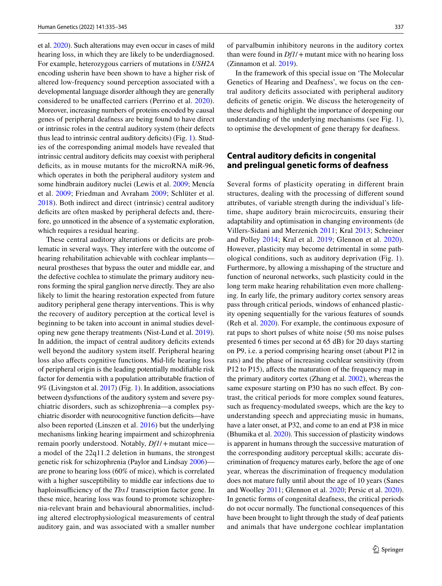et al. 2020). Such alterations may even occur in cases of mild hearing loss, in which they are likely to be underdiagnosed. For example, heterozygous carriers of mutations in *USH2A* encoding usherin have been shown to have a higher risk of altered low-frequency sound perception associated with a developmental language disorder although they are generally considered to be unafected carriers (Perrino et al. 2020). Moreover, increasing numbers of proteins encoded by causal genes of peripheral deafness are being found to have direct or intrinsic roles in the central auditory system (their defects thus lead to intrinsic central auditory deficits) (Fig. 1). Studies of the corresponding animal models have revealed that intrinsic central auditory deficits may coexist with peripheral deficits, as in mouse mutants for the microRNA miR-96, which operates in both the peripheral auditory system and some hindbrain auditory nuclei (Lewis et al. 2009; Mencía et al. 2009; Friedman and Avraham 2009; Schlüter et al. 2018). Both indirect and direct (intrinsic) central auditory deficits are often masked by peripheral defects and, therefore, go unnoticed in the absence of a systematic exploration, which requires a residual hearing.

These central auditory alterations or deficits are problematic in several ways. They interfere with the outcome of hearing rehabilitation achievable with cochlear implants neural prostheses that bypass the outer and middle ear, and the defective cochlea to stimulate the primary auditory neurons forming the spiral ganglion nerve directly. They are also likely to limit the hearing restoration expected from future auditory peripheral gene therapy interventions. This is why the recovery of auditory perception at the cortical level is beginning to be taken into account in animal studies developing new gene therapy treatments (Nist-Lund et al. 2019). In addition, the impact of central auditory deficits extends well beyond the auditory system itself. Peripheral hearing loss also afects cognitive functions. Mid-life hearing loss of peripheral origin is the leading potentially modifable risk factor for dementia with a population attributable fraction of 9% (Livingston et al. 2017) (Fig. 1). In addition, associations between dysfunctions of the auditory system and severe psychiatric disorders, such as schizophrenia—a complex psychiatric disorder with neurocognitive function deficits—have also been reported (Linszen et al. 2016) but the underlying mechanisms linking hearing impairment and schizophrenia remain poorly understood. Notably, *Df1*/+mutant mice a model of the 22q11.2 deletion in humans, the strongest genetic risk for schizophrenia (Paylor and Lindsay 2006) are prone to hearing loss (60% of mice), which is correlated with a higher susceptibility to middle ear infections due to haploinsufficiency of the *Tbx1* transcription factor gene. In these mice, hearing loss was found to promote schizophrenia-relevant brain and behavioural abnormalities, including altered electrophysiological measurements of central auditory gain, and was associated with a smaller number of parvalbumin inhibitory neurons in the auditory cortex than were found in *Df1*/+mutant mice with no hearing loss (Zinnamon et al. 2019).

In the framework of this special issue on 'The Molecular Genetics of Hearing and Deafness', we focus on the central auditory defcits associated with peripheral auditory deficits of genetic origin. We discuss the heterogeneity of these defects and highlight the importance of deepening our understanding of the underlying mechanisms (see Fig. 1), to optimise the development of gene therapy for deafness.

#### **Central auditory defcits in congenital and prelingual genetic forms of deafness**

Several forms of plasticity operating in different brain structures, dealing with the processing of diferent sound attributes, of variable strength during the individual's lifetime, shape auditory brain microcircuits, ensuring their adaptability and optimisation in changing environments (de Villers-Sidani and Merzenich 2011; Kral 2013; Schreiner and Polley 2014; Kral et al. 2019; Glennon et al. 2020). However, plasticity may become detrimental in some pathological conditions, such as auditory deprivation (Fig. 1). Furthermore, by allowing a misshaping of the structure and function of neuronal networks, such plasticity could in the long term make hearing rehabilitation even more challenging. In early life, the primary auditory cortex sensory areas pass through critical periods, windows of enhanced plasticity opening sequentially for the various features of sounds (Reh et al. 2020). For example, the continuous exposure of rat pups to short pulses of white noise (50 ms noise pulses presented 6 times per second at 65 dB) for 20 days starting on P9, i.e. a period comprising hearing onset (about P12 in rats) and the phase of increasing cochlear sensitivity (from P12 to P15), affects the maturation of the frequency map in the primary auditory cortex (Zhang et al. 2002), whereas the same exposure starting on P30 has no such effect. By contrast, the critical periods for more complex sound features, such as frequency-modulated sweeps, which are the key to understanding speech and appreciating music in humans, have a later onset, at P32, and come to an end at P38 in mice (Bhumika et al. 2020). This succession of plasticity windows is apparent in humans through the successive maturation of the corresponding auditory perceptual skills; accurate discrimination of frequency matures early, before the age of one year, whereas the discrimination of frequency modulation does not mature fully until about the age of 10 years (Sanes and Woolley 2011; Glennon et al. 2020; Persic et al. 2020). In genetic forms of congenital deafness, the critical periods do not occur normally. The functional consequences of this have been brought to light through the study of deaf patients and animals that have undergone cochlear implantation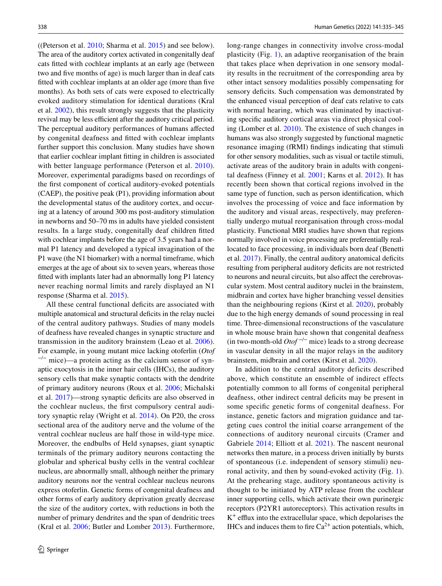((Peterson et al. 2010; Sharma et al. 2015) and see below). The area of the auditory cortex activated in congenitally deaf cats ftted with cochlear implants at an early age (between two and fve months of age) is much larger than in deaf cats ftted with cochlear implants at an older age (more than fve months). As both sets of cats were exposed to electrically evoked auditory stimulation for identical durations (Kral et al. 2002), this result strongly suggests that the plasticity revival may be less efficient after the auditory critical period. The perceptual auditory performances of humans afected by congenital deafness and ftted with cochlear implants further support this conclusion. Many studies have shown that earlier cochlear implant ftting in children is associated with better language performance (Peterson et al. 2010). Moreover, experimental paradigms based on recordings of the frst component of cortical auditory-evoked potentials (CAEP), the positive peak (P1), providing information about the developmental status of the auditory cortex, and occuring at a latency of around 300 ms post-auditory stimulation in newborns and 50–70 ms in adults have yielded consistent results. In a large study, congenitally deaf children ftted with cochlear implants before the age of 3.5 years had a normal P1 latency and developed a typical invagination of the P1 wave (the N1 biomarker) with a normal timeframe, which emerges at the age of about six to seven years, whereas those ftted with implants later had an abnormally long P1 latency never reaching normal limits and rarely displayed an N1 response (Sharma et al. 2015).

All these central functional deficits are associated with multiple anatomical and structural deficits in the relay nuclei of the central auditory pathways. Studies of many models of deafness have revealed changes in synaptic structure and transmission in the auditory brainstem (Leao et al. 2006). For example, in young mutant mice lacking otoferlin (*Otof*  $^{-/-}$  mice)—a protein acting as the calcium sensor of synaptic exocytosis in the inner hair cells (IHCs), the auditory sensory cells that make synaptic contacts with the dendrite of primary auditory neurons (Roux et al. 2006; Michalski et al. 2017)—strong synaptic defcits are also observed in the cochlear nucleus, the frst compulsory central auditory synaptic relay (Wright et al. 2014). On P20, the cross sectional area of the auditory nerve and the volume of the ventral cochlear nucleus are half those in wild-type mice. Moreover, the endbulbs of Held synapses, giant synaptic terminals of the primary auditory neurons contacting the globular and spherical bushy cells in the ventral cochlear nucleus, are abnormally small, although neither the primary auditory neurons nor the ventral cochlear nucleus neurons express otoferlin. Genetic forms of congenital deafness and other forms of early auditory deprivation greatly decrease the size of the auditory cortex, with reductions in both the number of primary dendrites and the span of dendritic trees (Kral et al. 2006; Butler and Lomber 2013). Furthermore,

long-range changes in connectivity involve cross-modal plasticity (Fig. 1), an adaptive reorganisation of the brain that takes place when deprivation in one sensory modality results in the recruitment of the corresponding area by other intact sensory modalities possibly compensating for sensory deficits. Such compensation was demonstrated by the enhanced visual perception of deaf cats relative to cats with normal hearing, which was eliminated by inactivating specifc auditory cortical areas via direct physical cooling (Lomber et al. 2010). The existence of such changes in humans was also strongly suggested by functional magnetic resonance imaging (fRMI) fndings indicating that stimuli for other sensory modalities, such as visual or tactile stimuli, activate areas of the auditory brain in adults with congenital deafness (Finney et al. 2001; Karns et al. 2012). It has recently been shown that cortical regions involved in the same type of function, such as person identifcation, which involves the processing of voice and face information by the auditory and visual areas, respectively, may preferentially undergo mutual reorganisation through cross-modal plasticity. Functional MRI studies have shown that regions normally involved in voice processing are preferentially reallocated to face processing, in individuals born deaf (Benetti et al. 2017). Finally, the central auditory anatomical defcits resulting from peripheral auditory defcits are not restricted to neurons and neural circuits, but also afect the cerebrovascular system. Most central auditory nuclei in the brainstem, midbrain and cortex have higher branching vessel densities than the neighbouring regions (Kirst et al. 2020), probably due to the high energy demands of sound processing in real time. Three-dimensional reconstructions of the vasculature in whole mouse brain have shown that congenital deafness (in two-month-old *Otof* −/− mice) leads to a strong decrease in vascular density in all the major relays in the auditory brainstem, midbrain and cortex (Kirst et al. 2020).

In addition to the central auditory deficits described above, which constitute an ensemble of indirect effects potentially common to all forms of congenital peripheral deafness, other indirect central defcits may be present in some specifc genetic forms of congenital deafness. For instance, genetic factors and migration guidance and targeting cues control the initial coarse arrangement of the connections of auditory neuronal circuits (Cramer and Gabriele 2014; Elliott et al. 2021). The nascent neuronal networks then mature, in a process driven initially by bursts of spontaneous (i.e. independent of sensory stimuli) neuronal activity, and then by sound-evoked activity (Fig. 1). At the prehearing stage, auditory spontaneous activity is thought to be initiated by ATP release from the cochlear inner supporting cells, which activate their own purinergic receptors (P2YR1 autoreceptors). This activation results in  $K^+$  efflux into the extracellular space, which depolarises the IHCs and induces them to fire  $Ca^{2+}$  action potentials, which,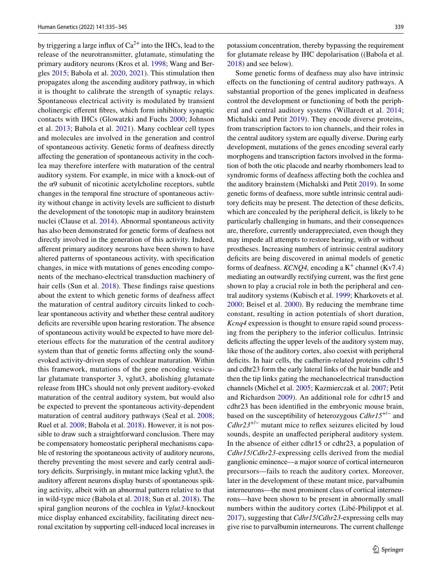by triggering a large influx of  $Ca^{2+}$  into the IHCs, lead to the release of the neurotransmitter, glutamate, stimulating the primary auditory neurons (Kros et al. 1998; Wang and Bergles 2015; Babola et al. 2020, 2021). This stimulation then propagates along the ascending auditory pathway, in which it is thought to calibrate the strength of synaptic relays. Spontaneous electrical activity is modulated by transient cholinergic eferent fbres, which form inhibitory synaptic contacts with IHCs (Glowatzki and Fuchs 2000; Johnson et al. 2013; Babola et al. 2021). Many cochlear cell types and molecules are involved in the generation and control of spontaneous activity. Genetic forms of deafness directly afecting the generation of spontaneous activity in the cochlea may therefore interfere with maturation of the central auditory system. For example, in mice with a knock-out of the  $\alpha$ 9 subunit of nicotinic acetylcholine receptors, subtle changes in the temporal fne structure of spontaneous activity without change in activity levels are sufficient to disturb the development of the tonotopic map in auditory brainstem nuclei (Clause et al. 2014). Abnormal spontaneous activity has also been demonstrated for genetic forms of deafness not directly involved in the generation of this activity. Indeed, aferent primary auditory neurons have been shown to have altered patterns of spontaneous activity, with specifcation changes, in mice with mutations of genes encoding components of the mechano-electrical transduction machinery of hair cells (Sun et al. 2018). These findings raise questions about the extent to which genetic forms of deafness afect the maturation of central auditory circuits linked to cochlear spontaneous activity and whether these central auditory deficits are reversible upon hearing restoration. The absence of spontaneous activity would be expected to have more deleterious efects for the maturation of the central auditory system than that of genetic forms affecting only the soundevoked activity-driven steps of cochlear maturation. Within this framework, mutations of the gene encoding vesicular glutamate transporter 3, vglut3, abolishing glutamate release from IHCs should not only prevent auditory-evoked maturation of the central auditory system, but would also be expected to prevent the spontaneous activity-dependent maturation of central auditory pathways (Seal et al. 2008; Ruel et al. 2008; Babola et al. 2018). However, it is not possible to draw such a straightforward conclusion. There may be compensatory homeostatic peripheral mechanisms capable of restoring the spontaneous activity of auditory neurons, thereby preventing the most severe and early central auditory defcits. Surprisingly, in mutant mice lacking vglut3, the auditory afferent neurons display bursts of spontaneous spiking activity, albeit with an abnormal pattern relative to that in wild-type mice (Babola et al. 2018; Sun et al. 2018). The spiral ganglion neurons of the cochlea in *Vglut3*-knockout mice display enhanced excitability, facilitating direct neuronal excitation by supporting cell-induced local increases in

potassium concentration, thereby bypassing the requirement for glutamate release by IHC depolarisation ((Babola et al. 2018) and see below).

Some genetic forms of deafness may also have intrinsic efects on the functioning of central auditory pathways. A substantial proportion of the genes implicated in deafness control the development or functioning of both the peripheral and central auditory systems (Willaredt et al. 2014; Michalski and Petit 2019). They encode diverse proteins, from transcription factors to ion channels, and their roles in the central auditory system are equally diverse. During early development, mutations of the genes encoding several early morphogens and transcription factors involved in the formation of both the otic placode and nearby rhombomers lead to syndromic forms of deafness afecting both the cochlea and the auditory brainstem (Michalski and Petit 2019). In some genetic forms of deafness, more subtle intrinsic central auditory deficits may be present. The detection of these deficits, which are concealed by the peripheral deficit, is likely to be particularly challenging in humans, and their consequences are, therefore, currently underappreciated, even though they may impede all attempts to restore hearing, with or without prostheses. Increasing numbers of intrinsic central auditory deficits are being discovered in animal models of genetic forms of deafness. *KCNQ4*, encoding a  $K^+$  channel (Kv7.4) mediating an outwardly rectifying current, was the frst gene shown to play a crucial role in both the peripheral and central auditory systems (Kubisch et al. 1999; Kharkovets et al. 2000; Beisel et al. 2000). By reducing the membrane time constant, resulting in action potentials of short duration, *Kcnq4* expression is thought to ensure rapid sound processing from the periphery to the inferior colliculus. Intrinsic deficits affecting the upper levels of the auditory system may, like those of the auditory cortex, also coexist with peripheral deficits. In hair cells, the cadherin-related proteins cdhr15 and cdhr23 form the early lateral links of the hair bundle and then the tip links gating the mechanoelectrical transduction channels (Michel et al. 2005; Kazmierczak et al. 2007; Petit and Richardson 2009). An additional role for cdhr15 and cdhr23 has been identifed in the embryonic mouse brain, based on the susceptibility of heterozygous *Cdhr15*+/− and *Cdhr23*+/− mutant mice to refex seizures elicited by loud sounds, despite an unafected peripheral auditory system. In the absence of either cdhr15 or cdhr23, a population of *Cdhr15*/*Cdhr23*-expressing cells derived from the medial ganglionic eminence—a major source of cortical interneuron precursors—fails to reach the auditory cortex. Moreover, later in the development of these mutant mice, parvalbumin interneurons—the most prominent class of cortical interneurons—have been shown to be present in abnormally small numbers within the auditory cortex (Libé-Philippot et al. 2017), suggesting that *Cdhr15*/*Cdhr23*-expressing cells may give rise to parvalbumin interneurons. The current challenge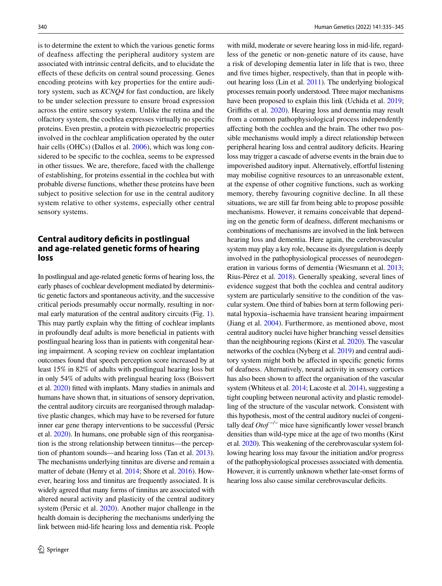is to determine the extent to which the various genetic forms of deafness afecting the peripheral auditory system are associated with intrinsic central deficits, and to elucidate the effects of these deficits on central sound processing. Genes encoding proteins with key properties for the entire auditory system, such as *KCNQ4* for fast conduction, are likely to be under selection pressure to ensure broad expression across the entire sensory system. Unlike the retina and the olfactory system, the cochlea expresses virtually no specifc proteins. Even prestin, a protein with piezoelectric properties involved in the cochlear amplifcation operated by the outer hair cells (OHCs) (Dallos et al. 2006), which was long considered to be specifc to the cochlea, seems to be expressed in other tissues. We are, therefore, faced with the challenge of establishing, for proteins essential in the cochlea but with probable diverse functions, whether these proteins have been subject to positive selection for use in the central auditory system relative to other systems, especially other central sensory systems.

### **Central auditory defcits in postlingual and age‑related genetic forms of hearing loss**

In postlingual and age-related genetic forms of hearing loss, the early phases of cochlear development mediated by deterministic genetic factors and spontaneous activity, and the successive critical periods presumably occur normally, resulting in normal early maturation of the central auditory circuits (Fig. 1). This may partly explain why the ftting of cochlear implants in profoundly deaf adults is more benefcial in patients with postlingual hearing loss than in patients with congenital hearing impairment. A scoping review on cochlear implantation outcomes found that speech perception score increased by at least 15% in 82% of adults with postlingual hearing loss but in only 54% of adults with prelingual hearing loss (Boisvert et al. 2020) ftted with implants. Many studies in animals and humans have shown that, in situations of sensory deprivation, the central auditory circuits are reorganised through maladaptive plastic changes, which may have to be reversed for future inner ear gene therapy interventions to be successful (Persic et al. 2020). In humans, one probable sign of this reorganisation is the strong relationship between tinnitus—the perception of phantom sounds—and hearing loss (Tan et al. 2013). The mechanisms underlying tinnitus are diverse and remain a matter of debate (Henry et al. 2014; Shore et al. 2016). However, hearing loss and tinnitus are frequently associated. It is widely agreed that many forms of tinnitus are associated with altered neural activity and plasticity of the central auditory system (Persic et al. 2020). Another major challenge in the health domain is deciphering the mechanisms underlying the link between mid-life hearing loss and dementia risk. People

with mild, moderate or severe hearing loss in mid-life, regardless of the genetic or non-genetic nature of its cause, have a risk of developing dementia later in life that is two, three and fve times higher, respectively, than that in people without hearing loss (Lin et al. 2011). The underlying biological processes remain poorly understood. Three major mechanisms have been proposed to explain this link (Uchida et al. 2019; Grifths et al. 2020). Hearing loss and dementia may result from a common pathophysiological process independently afecting both the cochlea and the brain. The other two possible mechanisms would imply a direct relationship between peripheral hearing loss and central auditory deficits. Hearing loss may trigger a cascade of adverse events in the brain due to impoverished auditory input. Alternatively, effortful listening may mobilise cognitive resources to an unreasonable extent, at the expense of other cognitive functions, such as working memory, thereby favouring cognitive decline. In all these situations, we are still far from being able to propose possible mechanisms. However, it remains conceivable that depending on the genetic form of deafness, diferent mechanisms or combinations of mechanisms are involved in the link between hearing loss and dementia. Here again, the cerebrovascular system may play a key role, because its dysregulation is deeply involved in the pathophysiological processes of neurodegeneration in various forms of dementia (Wiesmann et al. 2013; Rius-Pérez et al. 2018). Generally speaking, several lines of evidence suggest that both the cochlea and central auditory system are particularly sensitive to the condition of the vascular system. One third of babies born at term following perinatal hypoxia–ischaemia have transient hearing impairment (Jiang et al. 2004). Furthermore, as mentioned above, most central auditory nuclei have higher branching vessel densities than the neighbouring regions (Kirst et al. 2020). The vascular networks of the cochlea (Nyberg et al. 2019) and central auditory system might both be afected in specifc genetic forms of deafness. Alternatively, neural activity in sensory cortices has also been shown to affect the organisation of the vascular system (Whiteus et al. 2014; Lacoste et al. 2014), suggesting a tight coupling between neuronal activity and plastic remodelling of the structure of the vascular network. Consistent with this hypothesis, most of the central auditory nuclei of congenitally deaf *Otof* −/− mice have signifcantly lower vessel branch densities than wild-type mice at the age of two months (Kirst et al. 2020). This weakening of the cerebrovascular system following hearing loss may favour the initiation and/or progress of the pathophysiological processes associated with dementia. However, it is currently unknown whether late-onset forms of hearing loss also cause similar cerebrovascular deficits.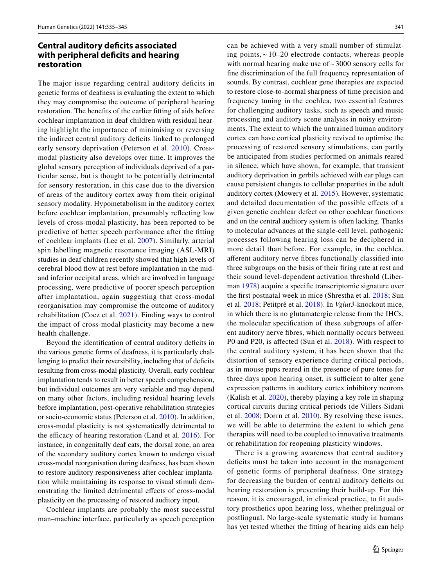#### **Central auditory defcits associated with peripheral defcits and hearing restoration**

The major issue regarding central auditory deficits in genetic forms of deafness is evaluating the extent to which they may compromise the outcome of peripheral hearing restoration. The benefts of the earlier ftting of aids before cochlear implantation in deaf children with residual hearing highlight the importance of minimising or reversing the indirect central auditory defcits linked to prolonged early sensory deprivation (Peterson et al. 2010). Crossmodal plasticity also develops over time. It improves the global sensory perception of individuals deprived of a particular sense, but is thought to be potentially detrimental for sensory restoration, in this case due to the diversion of areas of the auditory cortex away from their original sensory modality. Hypometabolism in the auditory cortex before cochlear implantation, presumably refecting low levels of cross-modal plasticity, has been reported to be predictive of better speech performance after the ftting of cochlear implants (Lee et al. 2007). Similarly, arterial spin labelling magnetic resonance imaging (ASL-MRI) studies in deaf children recently showed that high levels of cerebral blood fow at rest before implantation in the midand inferior occipital areas, which are involved in language processing, were predictive of poorer speech perception after implantation, again suggesting that cross-modal reorganisation may compromise the outcome of auditory rehabilitation (Coez et al. 2021). Finding ways to control the impact of cross-modal plasticity may become a new health challenge.

Beyond the identification of central auditory deficits in the various genetic forms of deafness, it is particularly challenging to predict their reversibility, including that of deficits resulting from cross-modal plasticity. Overall, early cochlear implantation tends to result in better speech comprehension, but individual outcomes are very variable and may depend on many other factors, including residual hearing levels before implantation, post-operative rehabilitation strategies or socio-economic status (Peterson et al. 2010). In addition, cross-modal plasticity is not systematically detrimental to the efficacy of hearing restoration (Land et al.  $2016$ ). For instance, in congenitally deaf cats, the dorsal zone, an area of the secondary auditory cortex known to undergo visual cross-modal reorganisation during deafness, has been shown to restore auditory responsiveness after cochlear implantation while maintaining its response to visual stimuli demonstrating the limited detrimental efects of cross-modal plasticity on the processing of restored auditory input.

Cochlear implants are probably the most successful man–machine interface, particularly as speech perception

can be achieved with a very small number of stimulating points,  $\sim$  10–20 electrode contacts, whereas people with normal hearing make use of ~3000 sensory cells for fne discrimination of the full frequency representation of sounds. By contrast, cochlear gene therapies are expected to restore close-to-normal sharpness of time precision and frequency tuning in the cochlea, two essential features for challenging auditory tasks, such as speech and music processing and auditory scene analysis in noisy environments. The extent to which the untrained human auditory cortex can have cortical plasticity revived to optimise the processing of restored sensory stimulations, can partly be anticipated from studies performed on animals reared in silence, which have shown, for example, that transient auditory deprivation in gerbils achieved with ear plugs can cause persistent changes to cellular properties in the adult auditory cortex (Mowery et al. 2015). However, systematic and detailed documentation of the possible efects of a given genetic cochlear defect on other cochlear functions and on the central auditory system is often lacking. Thanks to molecular advances at the single-cell level, pathogenic processes following hearing loss can be deciphered in more detail than before. For example, in the cochlea, aferent auditory nerve fbres functionally classifed into three subgroups on the basis of their fring rate at rest and their sound level-dependent activation threshold (Liberman 1978) acquire a specifc transcriptomic signature over the frst postnatal week in mice (Shrestha et al. 2018; Sun et al. 2018; Petitpré et al. 2018). In *Vglut3*-knockout mice, in which there is no glutamatergic release from the IHCs, the molecular specifcation of these subgroups of aferent auditory nerve fbres, which normally occurs between P0 and P20, is affected (Sun et al. 2018). With respect to the central auditory system, it has been shown that the distortion of sensory experience during critical periods, as in mouse pups reared in the presence of pure tones for three days upon hearing onset, is sufficient to alter gene expression patterns in auditory cortex inhibitory neurons (Kalish et al. 2020), thereby playing a key role in shaping cortical circuits during critical periods (de Villers-Sidani et al. 2008; Dorrn et al. 2010). By resolving these issues, we will be able to determine the extent to which gene therapies will need to be coupled to innovative treatments or rehabilitation for reopening plasticity windows.

There is a growing awareness that central auditory deficits must be taken into account in the management of genetic forms of peripheral deafness. One strategy for decreasing the burden of central auditory deficits on hearing restoration is preventing their build-up. For this reason, it is encouraged, in clinical practice, to ft auditory prosthetics upon hearing loss, whether prelingual or postlingual. No large-scale systematic study in humans has yet tested whether the ftting of hearing aids can help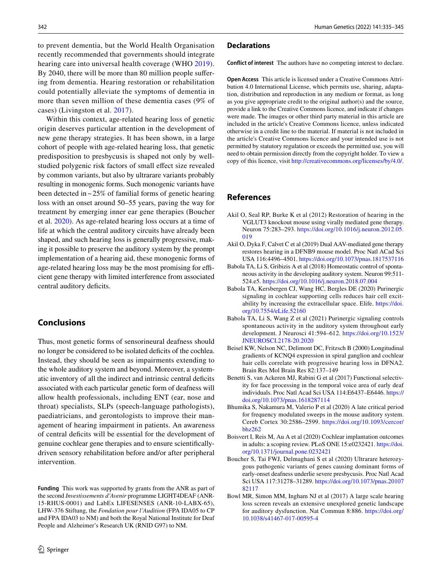to prevent dementia, but the World Health Organisation recently recommended that governments should integrate hearing care into universal health coverage (WHO 2019). By 2040, there will be more than 80 million people sufering from dementia. Hearing restoration or rehabilitation could potentially alleviate the symptoms of dementia in more than seven million of these dementia cases (9% of cases) (Livingston et al. 2017).

Within this context, age-related hearing loss of genetic origin deserves particular attention in the development of new gene therapy strategies. It has been shown, in a large cohort of people with age-related hearing loss, that genetic predisposition to presbycusis is shaped not only by wellstudied polygenic risk factors of small efect size revealed by common variants, but also by ultrarare variants probably resulting in monogenic forms. Such monogenic variants have been detected in  $\sim$  25% of familial forms of genetic hearing loss with an onset around 50–55 years, paving the way for treatment by emerging inner ear gene therapies (Boucher et al. 2020). As age-related hearing loss occurs at a time of life at which the central auditory circuits have already been shaped, and such hearing loss is generally progressive, making it possible to preserve the auditory system by the prompt implementation of a hearing aid, these monogenic forms of age-related hearing loss may be the most promising for efficient gene therapy with limited interference from associated central auditory deficits.

## **Conclusions**

Thus, most genetic forms of sensorineural deafness should no longer be considered to be isolated defcits of the cochlea. Instead, they should be seen as impairments extending to the whole auditory system and beyond. Moreover, a systematic inventory of all the indirect and intrinsic central deficits associated with each particular genetic form of deafness will allow health professionals, including ENT (ear, nose and throat) specialists, SLPs (speech-language pathologists), paediatricians, and gerontologists to improve their management of hearing impairment in patients. An awareness of central defcits will be essential for the development of genuine cochlear gene therapies and to ensure scientifcallydriven sensory rehabilitation before and/or after peripheral intervention.

**Funding** This work was supported by grants from the ANR as part of the second *Investissements d'Avenir* programme LIGHT4DEAF (ANR-15-RHUS-0001) and LabEx LIFESENSES (ANR-10-LABX-65), LHW-376 Stiftung, the *Fondation pour l'Audition* (FPA IDA05 to CP and FPA IDA03 to NM) and both the Royal National Institute for Deaf People and Alzheimer's Research UK (RNID G97) to NM.

#### **Declarations**

**Conflict of interest** The authors have no competing interest to declare.

**Open Access** This article is licensed under a Creative Commons Attribution 4.0 International License, which permits use, sharing, adaptation, distribution and reproduction in any medium or format, as long as you give appropriate credit to the original author(s) and the source, provide a link to the Creative Commons licence, and indicate if changes were made. The images or other third party material in this article are included in the article's Creative Commons licence, unless indicated otherwise in a credit line to the material. If material is not included in the article's Creative Commons licence and your intended use is not permitted by statutory regulation or exceeds the permitted use, you will need to obtain permission directly from the copyright holder. To view a copy of this licence, visit<http://creativecommons.org/licenses/by/4.0/>.

### **References**

- Akil O, Seal RP, Burke K et al (2012) Restoration of hearing in the VGLUT3 knockout mouse using virally mediated gene therapy. Neuron 75:283–293. [https://doi.org/10.1016/j.neuron.2012.05.](https://doi.org/10.1016/j.neuron.2012.05.019) [019](https://doi.org/10.1016/j.neuron.2012.05.019)
- Akil O, Dyka F, Calvet C et al (2019) Dual AAV-mediated gene therapy restores hearing in a DFNB9 mouse model. Proc Natl ACad Sci USA 116:4496–4501.<https://doi.org/10.1073/pnas.1817537116>
- Babola TA, Li S, Gribizis A et al (2018) Homeostatic control of spontaneous activity in the developing auditory system. Neuron 99:511- 524.e5.<https://doi.org/10.1016/j.neuron.2018.07.004>
- Babola TA, Kersbergen CJ, Wang HC, Bergles DE (2020) Purinergic signaling in cochlear supporting cells reduces hair cell excitability by increasing the extracellular space. Elife. [https://doi.](https://doi.org/10.7554/eLife.52160) [org/10.7554/eLife.52160](https://doi.org/10.7554/eLife.52160)
- Babola TA, Li S, Wang Z et al (2021) Purinergic signaling controls spontaneous activity in the auditory system throughout early development. J Neurosci 41:594–612. [https://doi.org/10.1523/](https://doi.org/10.1523/JNEUROSCI.2178-20.2020) [JNEUROSCI.2178-20.2020](https://doi.org/10.1523/JNEUROSCI.2178-20.2020)
- Beisel KW, Nelson NC, Delimont DC, Fritzsch B (2000) Longitudinal gradients of KCNQ4 expression in spiral ganglion and cochlear hair cells correlate with progressive hearing loss in DFNA2. Brain Res Mol Brain Res 82:137–149
- Benetti S, van Ackeren MJ, Rabini G et al (2017) Functional selectivity for face processing in the temporal voice area of early deaf individuals. Proc Natl Acad Sci USA 114:E6437–E6446. [https://](https://doi.org/10.1073/pnas.1618287114) [doi.org/10.1073/pnas.1618287114](https://doi.org/10.1073/pnas.1618287114)
- Bhumika S, Nakamura M, Valerio P et al (2020) A late critical period for frequency modulated sweeps in the mouse auditory system. Cereb Cortex 30:2586–2599. [https://doi.org/10.1093/cercor/](https://doi.org/10.1093/cercor/bhz262) [bhz262](https://doi.org/10.1093/cercor/bhz262)
- Boisvert I, Reis M, Au A et al (2020) Cochlear implantation outcomes in adults: a scoping review. PLoS ONE 15:e0232421. [https://doi.](https://doi.org/10.1371/journal.pone.0232421) [org/10.1371/journal.pone.0232421](https://doi.org/10.1371/journal.pone.0232421)
- Boucher S, Tai FWJ, Delmaghani S et al (2020) Ultrarare heterozygous pathogenic variants of genes causing dominant forms of early-onset deafness underlie severe presbycusis. Proc Natl Acad Sci USA 117:31278–31289. [https://doi.org/10.1073/pnas.20107](https://doi.org/10.1073/pnas.2010782117) [82117](https://doi.org/10.1073/pnas.2010782117)
- Bowl MR, Simon MM, Ingham NJ et al (2017) A large scale hearing loss screen reveals an extensive unexplored genetic landscape for auditory dysfunction. Nat Commun 8:886. [https://doi.org/](https://doi.org/10.1038/s41467-017-00595-4) [10.1038/s41467-017-00595-4](https://doi.org/10.1038/s41467-017-00595-4)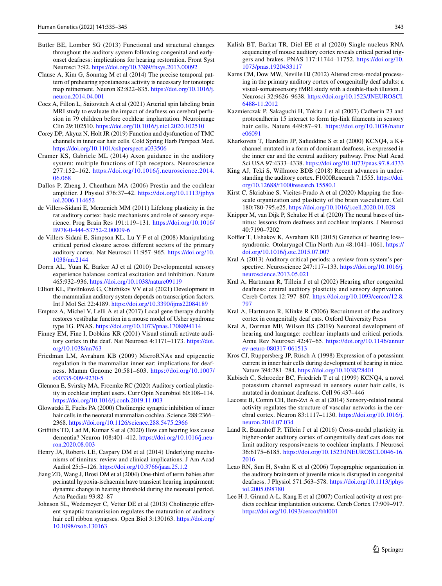- Butler BE, Lomber SG (2013) Functional and structural changes throughout the auditory system following congenital and earlyonset deafness: implications for hearing restoration. Front Syst Neurosci 7:92.<https://doi.org/10.3389/fnsys.2013.00092>
- Clause A, Kim G, Sonntag M et al (2014) The precise temporal pattern of prehearing spontaneous activity is necessary for tonotopic map refnement. Neuron 82:822–835. [https://doi.org/10.1016/j.](https://doi.org/10.1016/j.neuron.2014.04.001) [neuron.2014.04.001](https://doi.org/10.1016/j.neuron.2014.04.001)
- Coez A, Fillon L, Saitovitch A et al (2021) Arterial spin labeling brain MRI study to evaluate the impact of deafness on cerebral perfusion in 79 children before cochlear implantation. Neuroimage Clin 29:102510.<https://doi.org/10.1016/j.nicl.2020.102510>
- Corey DP, Akyuz N, Holt JR (2019) Function and dysfunction of TMC channels in inner ear hair cells. Cold Spring Harb Perspect Med. <https://doi.org/10.1101/cshperspect.a033506>
- Cramer KS, Gabriele ML (2014) Axon guidance in the auditory system: multiple functions of Eph receptors. Neuroscience 277:152–162. [https://doi.org/10.1016/j.neuroscience.2014.](https://doi.org/10.1016/j.neuroscience.2014.06.068) [06.068](https://doi.org/10.1016/j.neuroscience.2014.06.068)
- Dallos P, Zheng J, Cheatham MA (2006) Prestin and the cochlear amplifer. J Physiol 576:37–42. [https://doi.org/10.1113/jphys](https://doi.org/10.1113/jphysiol.2006.114652) [iol.2006.114652](https://doi.org/10.1113/jphysiol.2006.114652)
- de Villers-Sidani E, Merzenich MM (2011) Lifelong plasticity in the rat auditory cortex: basic mechanisms and role of sensory experience. Prog Brain Res 191:119–131. [https://doi.org/10.1016/](https://doi.org/10.1016/B978-0-444-53752-2.00009-6) [B978-0-444-53752-2.00009-6](https://doi.org/10.1016/B978-0-444-53752-2.00009-6)
- de Villers-Sidani E, Simpson KL, Lu Y-F et al (2008) Manipulating critical period closure across diferent sectors of the primary auditory cortex. Nat Neurosci 11:957–965. [https://doi.org/10.](https://doi.org/10.1038/nn.2144) [1038/nn.2144](https://doi.org/10.1038/nn.2144)
- Dorrn AL, Yuan K, Barker AJ et al (2010) Developmental sensory experience balances cortical excitation and inhibition. Nature 465:932–936.<https://doi.org/10.1038/nature09119>
- Elliott KL, Pavlínková G, Chizhikov VV et al (2021) Development in the mammalian auditory system depends on transcription factors. Int J Mol Sci 22:4189.<https://doi.org/10.3390/ijms22084189>
- Emptoz A, Michel V, Lelli A et al (2017) Local gene therapy durably restores vestibular function in a mouse model of Usher syndrome type 1G. PNAS.<https://doi.org/10.1073/pnas.1708894114>
- Finney EM, Fine I, Dobkins KR (2001) Visual stimuli activate auditory cortex in the deaf. Nat Neurosci 4:1171–1173. [https://doi.](https://doi.org/10.1038/nn763) [org/10.1038/nn763](https://doi.org/10.1038/nn763)
- Friedman LM, Avraham KB (2009) MicroRNAs and epigenetic regulation in the mammalian inner ear: implications for deafness. Mamm Genome 20:581–603. [https://doi.org/10.1007/](https://doi.org/10.1007/s00335-009-9230-5) [s00335-009-9230-5](https://doi.org/10.1007/s00335-009-9230-5)
- Glennon E, Svirsky MA, Froemke RC (2020) Auditory cortical plasticity in cochlear implant users. Curr Opin Neurobiol 60:108–114. <https://doi.org/10.1016/j.conb.2019.11.003>
- Glowatzki E, Fuchs PA (2000) Cholinergic synaptic inhibition of inner hair cells in the neonatal mammalian cochlea. Science 288:2366– 2368. <https://doi.org/10.1126/science.288.5475.2366>
- Grifths TD, Lad M, Kumar S et al (2020) How can hearing loss cause dementia? Neuron 108:401–412. [https://doi.org/10.1016/j.neu](https://doi.org/10.1016/j.neuron.2020.08.003)[ron.2020.08.003](https://doi.org/10.1016/j.neuron.2020.08.003)
- Henry JA, Roberts LE, Caspary DM et al (2014) Underlying mechanisms of tinnitus: review and clinical implications. J Am Acad Audiol 25:5–126.<https://doi.org/10.3766/jaaa.25.1.2>
- Jiang ZD, Wang J, Brosi DM et al (2004) One-third of term babies after perinatal hypoxia-ischaemia have transient hearing impairment: dynamic change in hearing threshold during the neonatal period. Acta Paediatr 93:82–87
- Johnson SL, Wedemeyer C, Vetter DE et al (2013) Cholinergic eferent synaptic transmission regulates the maturation of auditory hair cell ribbon synapses. Open Biol 3:130163. [https://doi.org/](https://doi.org/10.1098/rsob.130163) [10.1098/rsob.130163](https://doi.org/10.1098/rsob.130163)
- Kalish BT, Barkat TR, Diel EE et al (2020) Single-nucleus RNA sequencing of mouse auditory cortex reveals critical period triggers and brakes. PNAS 117:11744–11752. [https://doi.org/10.](https://doi.org/10.1073/pnas.1920433117) [1073/pnas.1920433117](https://doi.org/10.1073/pnas.1920433117)
- Karns CM, Dow MW, Neville HJ (2012) Altered cross-modal processing in the primary auditory cortex of congenitally deaf adults: a visual-somatosensory fMRI study with a double-fash illusion. J Neurosci 32:9626–9638. [https://doi.org/10.1523/JNEUROSCI.](https://doi.org/10.1523/JNEUROSCI.6488-11.2012) [6488-11.2012](https://doi.org/10.1523/JNEUROSCI.6488-11.2012)
- Kazmierczak P, Sakaguchi H, Tokita J et al (2007) Cadherin 23 and protocadherin 15 interact to form tip-link flaments in sensory hair cells. Nature 449:87-91. [https://doi.org/10.1038/natur](https://doi.org/10.1038/nature06091) [e06091](https://doi.org/10.1038/nature06091)
- Kharkovets T, Hardelin JP, Safeddine S et al (2000) KCNQ4, a K+ channel mutated in a form of dominant deafness, is expressed in the inner ear and the central auditory pathway. Proc Natl Acad Sci USA 97:4333–4338. <https://doi.org/10.1073/pnas.97.8.4333>
- King AJ, Teki S, Willmore BDB (2018) Recent advances in understanding the auditory cortex. F1000Research 7:1555. [https://doi.](https://doi.org/10.12688/f1000research.15580.1) [org/10.12688/f1000research.15580.1](https://doi.org/10.12688/f1000research.15580.1)
- Kirst C, Skriabine S, Vieites-Prado A et al (2020) Mapping the fnescale organization and plasticity of the brain vasculature. Cell 180:780-795.e25.<https://doi.org/10.1016/j.cell.2020.01.028>
- Knipper M, van Dijk P, Schulze H et al (2020) The neural bases of tinnitus: lessons from deafness and cochlear implants. J Neurosci 40:7190–7202
- Koffler T, Ushakov K, Avraham KB (2015) Genetics of hearing losssyndromic. Otolaryngol Clin North Am 48:1041–1061. [https://](https://doi.org/10.1016/j.otc.2015.07.007) [doi.org/10.1016/j.otc.2015.07.007](https://doi.org/10.1016/j.otc.2015.07.007)
- Kral A (2013) Auditory critical periods: a review from system's perspective. Neuroscience 247:117–133. [https://doi.org/10.1016/j.](https://doi.org/10.1016/j.neuroscience.2013.05.021) [neuroscience.2013.05.021](https://doi.org/10.1016/j.neuroscience.2013.05.021)
- Kral A, Hartmann R, Tillein J et al (2002) Hearing after congenital deafness: central auditory plasticity and sensory deprivation. Cereb Cortex 12:797–807. [https://doi.org/10.1093/cercor/12.8.](https://doi.org/10.1093/cercor/12.8.797) [797](https://doi.org/10.1093/cercor/12.8.797)
- Kral A, Hartmann R, Klinke R (2006) Recruitment of the auditory cortex in congenitally deaf cats. Oxford University Press
- Kral A, Dorman MF, Wilson BS (2019) Neuronal development of hearing and language: cochlear implants and critical periods. Annu Rev Neurosci 42:47–65. [https://doi.org/10.1146/annur](https://doi.org/10.1146/annurev-neuro-080317-061513) [ev-neuro-080317-061513](https://doi.org/10.1146/annurev-neuro-080317-061513)
- Kros CJ, Ruppersberg JP, Rüsch A (1998) Expression of a potassium current in inner hair cells during development of hearing in mice. Nature 394:281–284.<https://doi.org/10.1038/28401>
- Kubisch C, Schroeder BC, Friedrich T et al (1999) KCNQ4, a novel potassium channel expressed in sensory outer hair cells, is mutated in dominant deafness. Cell 96:437–446
- Lacoste B, Comin CH, Ben-Zvi A et al (2014) Sensory-related neural activity regulates the structure of vascular networks in the cerebral cortex. Neuron 83:1117–1130. [https://doi.org/10.1016/j.](https://doi.org/10.1016/j.neuron.2014.07.034) [neuron.2014.07.034](https://doi.org/10.1016/j.neuron.2014.07.034)
- Land R, Baumhoff P, Tillein J et al (2016) Cross-modal plasticity in higher-order auditory cortex of congenitally deaf cats does not limit auditory responsiveness to cochlear implants. J Neurosci 36:6175–6185. [https://doi.org/10.1523/JNEUROSCI.0046-16.](https://doi.org/10.1523/JNEUROSCI.0046-16.2016) [2016](https://doi.org/10.1523/JNEUROSCI.0046-16.2016)
- Leao RN, Sun H, Svahn K et al (2006) Topographic organization in the auditory brainstem of juvenile mice is disrupted in congenital deafness. J Physiol 571:563–578. [https://doi.org/10.1113/jphys](https://doi.org/10.1113/jphysiol.2005.098780) [iol.2005.098780](https://doi.org/10.1113/jphysiol.2005.098780)
- Lee H-J, Giraud A-L, Kang E et al (2007) Cortical activity at rest predicts cochlear implantation outcome. Cereb Cortex 17:909–917. <https://doi.org/10.1093/cercor/bhl001>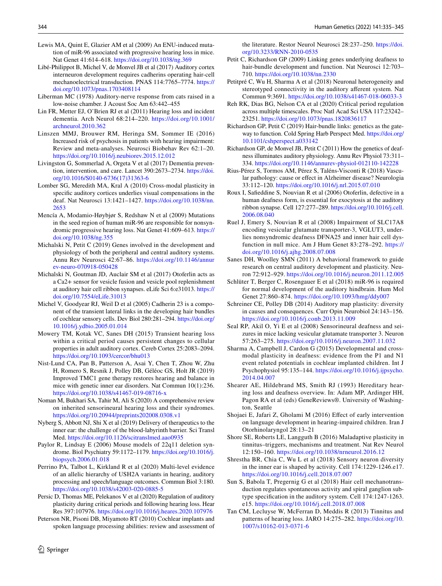- Lewis MA, Quint E, Glazier AM et al (2009) An ENU-induced mutation of miR-96 associated with progressive hearing loss in mice. Nat Genet 41:614–618. <https://doi.org/10.1038/ng.369>
- Libé-Philippot B, Michel V, de Monvel JB et al (2017) Auditory cortex interneuron development requires cadherins operating hair-cell mechanoelectrical transduction. PNAS 114:7765–7774. [https://](https://doi.org/10.1073/pnas.1703408114) [doi.org/10.1073/pnas.1703408114](https://doi.org/10.1073/pnas.1703408114)
- Liberman MC (1978) Auditory-nerve response from cats raised in a low-noise chamber. J Acoust Soc Am 63:442–455
- Lin FR, Metter EJ, O'Brien RJ et al (2011) Hearing loss and incident dementia. Arch Neurol 68:214–220. [https://doi.org/10.1001/](https://doi.org/10.1001/archneurol.2010.362) [archneurol.2010.362](https://doi.org/10.1001/archneurol.2010.362)
- Linszen MMJ, Brouwer RM, Heringa SM, Sommer IE (2016) Increased risk of psychosis in patients with hearing impairment: Review and meta-analyses. Neurosci Biobehav Rev 62:1–20. <https://doi.org/10.1016/j.neubiorev.2015.12.012>
- Livingston G, Sommerlad A, Orgeta V et al (2017) Dementia prevention, intervention, and care. Lancet 390:2673–2734. [https://doi.](https://doi.org/10.1016/S0140-6736(17)31363-6) [org/10.1016/S0140-6736\(17\)31363-6](https://doi.org/10.1016/S0140-6736(17)31363-6)
- Lomber SG, Meredith MA, Kral A (2010) Cross-modal plasticity in specifc auditory cortices underlies visual compensations in the deaf. Nat Neurosci 13:1421–1427. [https://doi.org/10.1038/nn.](https://doi.org/10.1038/nn.2653) [2653](https://doi.org/10.1038/nn.2653)
- Mencía A, Modamio-Høybjør S, Redshaw N et al (2009) Mutations in the seed region of human miR-96 are responsible for nonsyndromic progressive hearing loss. Nat Genet 41:609–613. [https://](https://doi.org/10.1038/ng.355) [doi.org/10.1038/ng.355](https://doi.org/10.1038/ng.355)
- Michalski N, Petit C (2019) Genes involved in the development and physiology of both the peripheral and central auditory systems. Annu Rev Neurosci 42:67–86. [https://doi.org/10.1146/annur](https://doi.org/10.1146/annurev-neuro-070918-050428) [ev-neuro-070918-050428](https://doi.org/10.1146/annurev-neuro-070918-050428)
- Michalski N, Goutman JD, Auclair SM et al (2017) Otoferlin acts as a Ca2+ sensor for vesicle fusion and vesicle pool replenishment at auditory hair cell ribbon synapses. eLife Sci 6:e31013. [https://](https://doi.org/10.7554/eLife.31013) [doi.org/10.7554/eLife.31013](https://doi.org/10.7554/eLife.31013)
- Michel V, Goodyear RJ, Weil D et al (2005) Cadherin 23 is a component of the transient lateral links in the developing hair bundles of cochlear sensory cells. Dev Biol 280:281–294. [https://doi.org/](https://doi.org/10.1016/j.ydbio.2005.01.014) [10.1016/j.ydbio.2005.01.014](https://doi.org/10.1016/j.ydbio.2005.01.014)
- Mowery TM, Kotak VC, Sanes DH (2015) Transient hearing loss within a critical period causes persistent changes to cellular properties in adult auditory cortex. Cereb Cortex 25:2083–2094. <https://doi.org/10.1093/cercor/bhu013>
- Nist-Lund CA, Pan B, Patterson A, Asai Y, Chen T, Zhou W, Zhu H, Romero S, Resnik J, Polley DB, Géléoc GS, Holt JR (2019) Improved TMC1 gene therapy restores hearing and balance in mice with genetic inner ear disorders. Nat Commun 10(1):236. <https://doi.org/10.1038/s41467-019-08716-x>
- Noman M, Bukhari SA, Tahir M, Ali S (2020) A comprehensive review on inherited sensorineural hearing loss and their syndromes. <https://doi.org/10.20944/preprints202008.0308.v1>
- Nyberg S, Abbott NJ, Shi X et al (2019) Delivery of therapeutics to the inner ear: the challenge of the blood-labyrinth barrier. Sci Transl Med.<https://doi.org/10.1126/scitranslmed.aao0935>
- Paylor R, Lindsay E (2006) Mouse models of 22q11 deletion syndrome. Biol Psychiatry 59:1172–1179. [https://doi.org/10.1016/j.](https://doi.org/10.1016/j.biopsych.2006.01.018) [biopsych.2006.01.018](https://doi.org/10.1016/j.biopsych.2006.01.018)
- Perrino PA, Talbot L, Kirkland R et al (2020) Multi-level evidence of an allelic hierarchy of USH2A variants in hearing, auditory processing and speech/language outcomes. Commun Biol 3:180. <https://doi.org/10.1038/s42003-020-0885-5>
- Persic D, Thomas ME, Pelekanos V et al (2020) Regulation of auditory plasticity during critical periods and following hearing loss. Hear Res 397:107976. <https://doi.org/10.1016/j.heares.2020.107976>
- Peterson NR, Pisoni DB, Miyamoto RT (2010) Cochlear implants and spoken language processing abilities: review and assessment of

the literature. Restor Neurol Neurosci 28:237-250. [https://doi.](https://doi.org/10.3233/RNN-2010-0535) [org/10.3233/RNN-2010-0535](https://doi.org/10.3233/RNN-2010-0535)

- Petit C, Richardson GP (2009) Linking genes underlying deafness to hair-bundle development and function. Nat Neurosci 12:703– 710. <https://doi.org/10.1038/nn.2330>
- Petitpré C, Wu H, Sharma A et al (2018) Neuronal heterogeneity and stereotyped connectivity in the auditory aferent system. Nat Commun 9:3691. <https://doi.org/10.1038/s41467-018-06033-3>
- Reh RK, Dias BG, Nelson CA et al (2020) Critical period regulation across multiple timescales. Proc Natl Acad Sci USA 117:23242– 23251.<https://doi.org/10.1073/pnas.1820836117>
- Richardson GP, Petit C (2019) Hair-bundle links: genetics as the gateway to function. Cold Spring Harb Perspect Med. [https://doi.org/](https://doi.org/10.1101/cshperspect.a033142) [10.1101/cshperspect.a033142](https://doi.org/10.1101/cshperspect.a033142)
- Richardson GP, de Monvel JB, Petit C (2011) How the genetics of deafness illuminates auditory physiology. Annu Rev Physiol 73:311– 334. <https://doi.org/10.1146/annurev-physiol-012110-142228>
- Rius-Pérez S, Tormos AM, Pérez S, Taléns-Visconti R (2018) Vascular pathology: cause or efect in Alzheimer disease? Neurologia 33:112–120. <https://doi.org/10.1016/j.nrl.2015.07.010>
- Roux I, Safeddine S, Nouvian R et al (2006) Otoferlin, defective in a human deafness form, is essential for exocytosis at the auditory ribbon synapse. Cell 127:277–289. [https://doi.org/10.1016/j.cell.](https://doi.org/10.1016/j.cell.2006.08.040) [2006.08.040](https://doi.org/10.1016/j.cell.2006.08.040)
- Ruel J, Emery S, Nouvian R et al (2008) Impairment of SLC17A8 encoding vesicular glutamate transporter-3, VGLUT3, underlies nonsyndromic deafness DFNA25 and inner hair cell dysfunction in null mice. Am J Hum Genet 83:278–292. [https://](https://doi.org/10.1016/j.ajhg.2008.07.008) [doi.org/10.1016/j.ajhg.2008.07.008](https://doi.org/10.1016/j.ajhg.2008.07.008)
- Sanes DH, Woolley SMN (2011) A behavioral framework to guide research on central auditory development and plasticity. Neuron 72:912–929.<https://doi.org/10.1016/j.neuron.2011.12.005>
- Schlüter T, Berger C, Rosengauer E et al (2018) miR-96 is required for normal development of the auditory hindbrain. Hum Mol Genet 27:860–874. <https://doi.org/10.1093/hmg/ddy007>
- Schreiner CE, Polley DB (2014) Auditory map plasticity: diversity in causes and consequences. Curr Opin Neurobiol 24:143–156. <https://doi.org/10.1016/j.conb.2013.11.009>
- Seal RP, Akil O, Yi E et al (2008) Sensorineural deafness and seizures in mice lacking vesicular glutamate transporter 3. Neuron 57:263–275.<https://doi.org/10.1016/j.neuron.2007.11.032>
- Sharma A, Campbell J, Cardon G (2015) Developmental and crossmodal plasticity in deafness: evidence from the P1 and N1 event related potentials in cochlear implanted children. Int J Psychophysiol 95:135–144. [https://doi.org/10.1016/j.ijpsycho.](https://doi.org/10.1016/j.ijpsycho.2014.04.007) [2014.04.007](https://doi.org/10.1016/j.ijpsycho.2014.04.007)
- Shearer AE, Hildebrand MS, Smith RJ (1993) Hereditary hearing loss and deafness overview. In: Adam MP, Ardinger HH, Pagon RA et al (eds) GeneReviews®. University of Washington, Seattle
- Shojaei E, Jafari Z, Gholami M (2016) Efect of early intervention on language development in hearing-impaired children. Iran J Otorhinolaryngol 28:13–21
- Shore SE, Roberts LE, Langguth B (2016) Maladaptive plasticity in tinnitus–triggers, mechanisms and treatment. Nat Rev Neurol 12:150–160.<https://doi.org/10.1038/nrneurol.2016.12>
- Shrestha BR, Chia C, Wu L et al (2018) Sensory neuron diversity in the inner ear is shaped by activity. Cell 174:1229-1246.e17. <https://doi.org/10.1016/j.cell.2018.07.007>
- Sun S, Babola T, Pregernig G et al (2018) Hair cell mechanotransduction regulates spontaneous activity and spiral ganglion subtype specifcation in the auditory system. Cell 174:1247-1263. e15. <https://doi.org/10.1016/j.cell.2018.07.008>
- Tan CM, Lecluyse W, McFerran D, Meddis R (2013) Tinnitus and patterns of hearing loss. JARO 14:275–282. [https://doi.org/10.](https://doi.org/10.1007/s10162-013-0371-6) [1007/s10162-013-0371-6](https://doi.org/10.1007/s10162-013-0371-6)